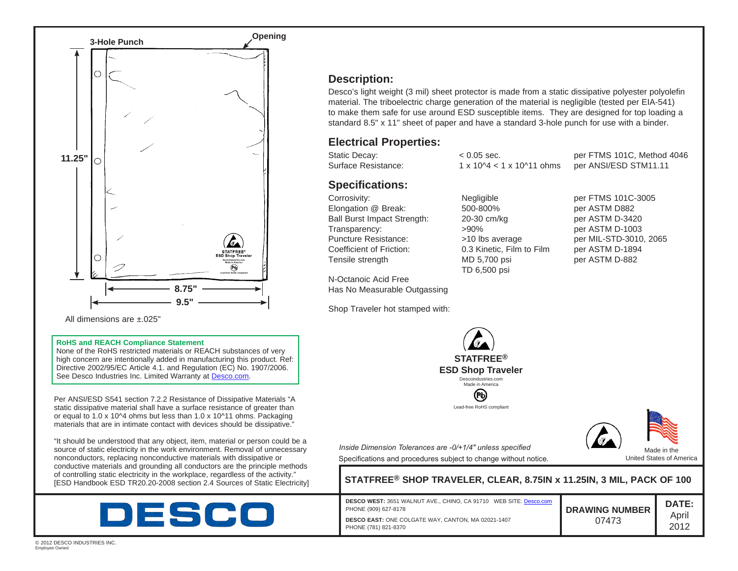

All dimensions are ±.025"

#### **RoHS and REACH Compliance Statement**

None of the RoHS restricted materials or REACH substances of very high concern are intentionally added in manufacturing this product. Ref: Directive 2002/95/EC Article 4.1. and Regulation (EC) No. 1907/2006. See Desco Industries Inc. Limited Warranty at [Desco.com](http://www.desco.com).

Per ANSI/ESD S541 section 7.2.2 Resistance of Dissipative Materials "A static dissipative material shall have a surface resistance of greater than or equal to 1.0 x 10^4 ohms but less than 1.0 x 10^11 ohms. Packaging materials that are in intimate contact with devices should be dissipative."

"It should be understood that any object, item, material or person could be a source of static electricity in the work environment. Removal of unnecessary nonconductors, replacing nonconductive materials with dissipative or conductive materials and grounding all conductors are the principle methods of controlling static electricity in the workplace, regardless of the activity."<br>
IESD Handbook ESD TR20.20-2008 section 2.4 Sources of Static Electricity



# **Description:**

Desco's light weight (3 mil) sheet protector is made from a static dissipative polyester polyolefin material. The triboelectric charge generation of the material is negligible (tested per EIA-541) to make them safe for use around ESD susceptible items. They are designed for top loading a standard 8.5" x 11" sheet of paper and have a standard 3-hole punch for use with a binder.

### **Electrical Properties:**

| Static Decay:       | $< 0.05$ sec.                              | per FTMS 101C, Method 4046 |
|---------------------|--------------------------------------------|----------------------------|
| Surface Resistance: | $1 \times 10^{14} < 1 \times 10^{11}$ ohms | per ANSI/ESD STM11.11      |

## **Specifications:**

Corrosivity: Negligible per FTMS 101C-3005 Elongation @ Break: 500-800% per ASTM D882 Ball Burst Impact Strength: 20-30 cm/kg per ASTM D-3420 Transparency:  $>90\%$  per ASTM D-1003 Puncture Resistance:  $>10$  lbs average per MIL-STD-3010, 2065 Coefficient of Friction: 0.3 Kinetic, Film to Film per ASTM D-1894 Tensile strength MD 5,700 psi per ASTM D-882

N-Octanoic Acid Free Has No Measurable Outgassing

PHONE (781) 821-8370

Shop Traveler hot stamped with:

TD 6,500 psi

**STATFREE®**

**ESD Shop Traveler** Descoindustries.com Made in America

> (P) Lead-free RoHS compliant



Specifications and procedures subject to change without notice. *Inside Dimension Tolerances are -0/+1/4" unless specified*

 $STATFREE®$  SHOP TRAVELER, CLEAR, 8.75IN x 11.25IN, 3 MIL, PACK OF 100

**DESCO WEST:** 3651 WALNUT AVE., CHINO, CA 91710 WEB SITE: [Desco.com](http://www.desco.com) PHONE (909) 627-8178 **DESCO EAST:** ONE COLGATE WAY, CANTON, MA 02021-1407